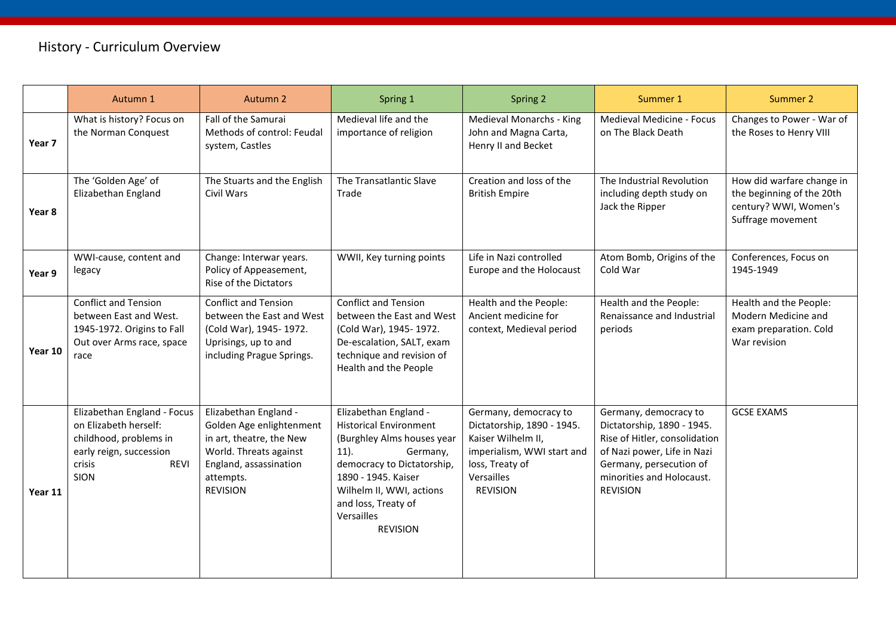## History - Curriculum Overview

|         | Autumn 1                                                                                                                                          | Autumn 2                                                                                                                                                          | Spring 1                                                                                                                                                                                                                                             | Spring 2                                                                                                                                                    | Summer 1                                                                                                                                                                                       | Summer 2                                                                                             |
|---------|---------------------------------------------------------------------------------------------------------------------------------------------------|-------------------------------------------------------------------------------------------------------------------------------------------------------------------|------------------------------------------------------------------------------------------------------------------------------------------------------------------------------------------------------------------------------------------------------|-------------------------------------------------------------------------------------------------------------------------------------------------------------|------------------------------------------------------------------------------------------------------------------------------------------------------------------------------------------------|------------------------------------------------------------------------------------------------------|
| Year 7  | What is history? Focus on<br>the Norman Conquest                                                                                                  | Fall of the Samurai<br>Methods of control: Feudal<br>system, Castles                                                                                              | Medieval life and the<br>importance of religion                                                                                                                                                                                                      | Medieval Monarchs - King<br>John and Magna Carta,<br>Henry II and Becket                                                                                    | Medieval Medicine - Focus<br>on The Black Death                                                                                                                                                | Changes to Power - War of<br>the Roses to Henry VIII                                                 |
| Year 8  | The 'Golden Age' of<br>Elizabethan England                                                                                                        | The Stuarts and the English<br>Civil Wars                                                                                                                         | The Transatlantic Slave<br>Trade                                                                                                                                                                                                                     | Creation and loss of the<br><b>British Empire</b>                                                                                                           | The Industrial Revolution<br>including depth study on<br>Jack the Ripper                                                                                                                       | How did warfare change in<br>the beginning of the 20th<br>century? WWI, Women's<br>Suffrage movement |
| Year 9  | WWI-cause, content and<br>legacy                                                                                                                  | Change: Interwar years.<br>Policy of Appeasement,<br>Rise of the Dictators                                                                                        | WWII, Key turning points                                                                                                                                                                                                                             | Life in Nazi controlled<br>Europe and the Holocaust                                                                                                         | Atom Bomb, Origins of the<br>Cold War                                                                                                                                                          | Conferences, Focus on<br>1945-1949                                                                   |
| Year 10 | <b>Conflict and Tension</b><br>between East and West.<br>1945-1972. Origins to Fall<br>Out over Arms race, space<br>race                          | <b>Conflict and Tension</b><br>between the East and West<br>(Cold War), 1945-1972.<br>Uprisings, up to and<br>including Prague Springs.                           | <b>Conflict and Tension</b><br>between the East and West<br>(Cold War), 1945-1972.<br>De-escalation, SALT, exam<br>technique and revision of<br>Health and the People                                                                                | Health and the People:<br>Ancient medicine for<br>context, Medieval period                                                                                  | Health and the People:<br>Renaissance and Industrial<br>periods                                                                                                                                | Health and the People:<br>Modern Medicine and<br>exam preparation. Cold<br>War revision              |
| Year 11 | Elizabethan England - Focus<br>on Elizabeth herself:<br>childhood, problems in<br>early reign, succession<br>crisis<br><b>REVI</b><br><b>SION</b> | Elizabethan England -<br>Golden Age enlightenment<br>in art, theatre, the New<br>World. Threats against<br>England, assassination<br>attempts.<br><b>REVISION</b> | Elizabethan England -<br><b>Historical Environment</b><br>(Burghley Alms houses year<br>$11$ ).<br>Germany,<br>democracy to Dictatorship,<br>1890 - 1945. Kaiser<br>Wilhelm II, WWI, actions<br>and loss, Treaty of<br>Versailles<br><b>REVISION</b> | Germany, democracy to<br>Dictatorship, 1890 - 1945.<br>Kaiser Wilhelm II,<br>imperialism, WWI start and<br>loss, Treaty of<br>Versailles<br><b>REVISION</b> | Germany, democracy to<br>Dictatorship, 1890 - 1945.<br>Rise of Hitler, consolidation<br>of Nazi power, Life in Nazi<br>Germany, persecution of<br>minorities and Holocaust.<br><b>REVISION</b> | <b>GCSE EXAMS</b>                                                                                    |